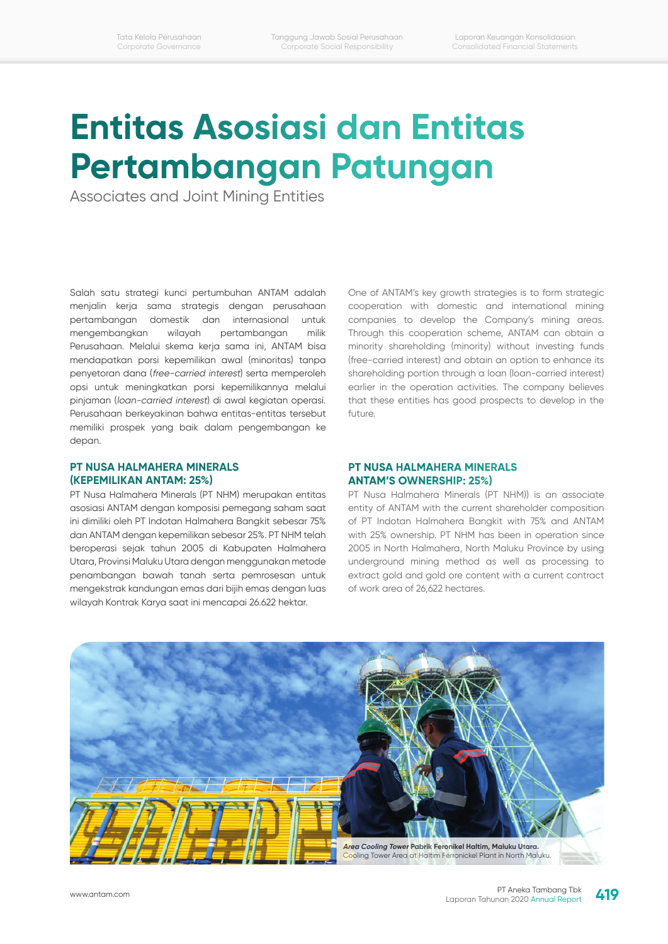# **Entitas Asosiasi dan Entitas Pertambangan Patungan**

Associates and Joint Mining Entities

Salah satu strategi kunci pertumbuhan ANTAM adalah menjalin kerja sama strategis dengan perusahaan pertambangan domestik dan internasional untuk mengembangkan wilayah pertambangan milik Perusahaan. Melalui skema kerja sama ini, ANTAM bisa mendapatkan porsi kepemilikan awal (minoritas) tanpa penyetoran dana (free-carried interest) serta memperoleh opsi untuk meningkatkan porsi kepemilikannya melalui pinjaman (loan-carried interest) di awal kegiatan operasi. Perusahaan berkeyakinan bahwa entitas-entitas tersebut memiliki prospek yang baik dalam pengembangan ke depan.

**PT NUSA HALMAHERA MINERALS (KEPEMILIKAN ANTAM: 25%)**

PT Nusa Halmahera Minerals (PT NHM) merupakan entitas asosiasi ANTAM dengan komposisi pemegang saham saat ini dimiliki oleh PT Indotan Halmahera Bangkit sebesar 75% dan ANTAM dengan kepemilikan sebesar 25%. PT NHM telah beroperasi sejak tahun 2005 di Kabupaten Halmahera Utara, Provinsi Maluku Utara dengan menggunakan metode penambangan bawah tanah serta pemrosesan untuk mengekstrak kandungan emas dari bijih emas dengan luas wilayah Kontrak Karya saat ini mencapai 26.622 hektar.

## cooperation with domestic and international mining companies to develop the Company's mining areas. Through this cooperation scheme, ANTAM can obtain a minority shareholding (minority) without investing funds (free-carried interest) and obtain an option to enhance its shareholding portion through a loan (loan-carried interest) earlier in the operation activities. The company believes that these entities has good prospects to develop in the future.

One of ANTAM's key growth strategies is to form strategic

#### **PT NUSA HALMAHERA MINERALS ANTAM'S OWNERSHIP: 25%)**

PT Nusa Halmahera Minerals (PT NHM)) is an associate entity of ANTAM with the current shareholder composition of PT Indotan Halmahera Bangkit with 75% and ANTAM with 25% ownership. PT NHM has been in operation since 2005 in North Halmahera, North Maluku Province by using underground mining method as well as processing to extract gold and gold ore content with a current contract of work area of 26,622 hectares.

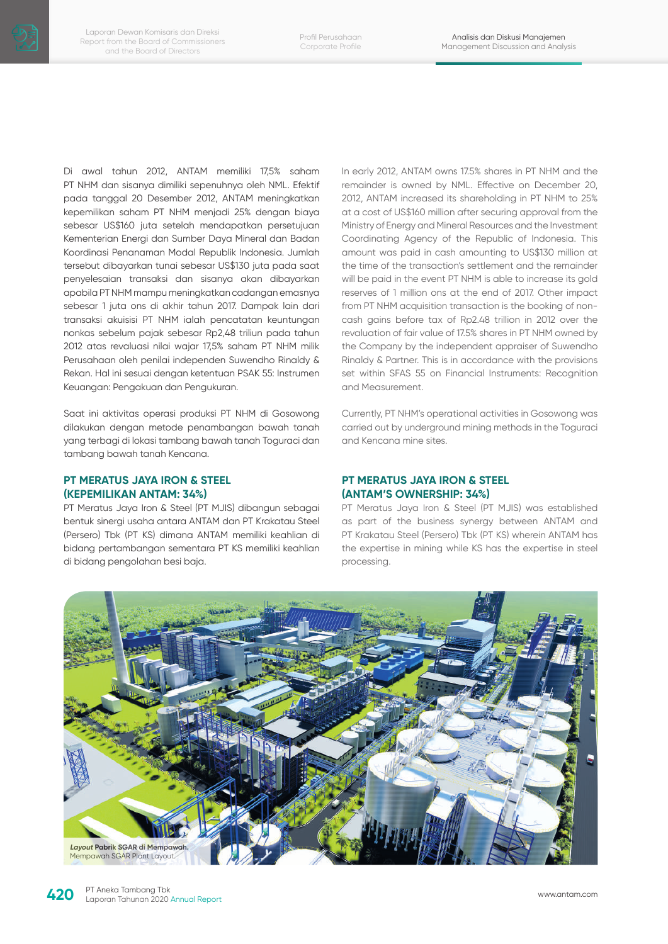Di awal tahun 2012, ANTAM memiliki 17,5% saham PT NHM dan sisanya dimiliki sepenuhnya oleh NML. Efektif pada tanggal 20 Desember 2012, ANTAM meningkatkan kepemilikan saham PT NHM menjadi 25% dengan biaya sebesar US\$160 juta setelah mendapatkan persetujuan Kementerian Energi dan Sumber Daya Mineral dan Badan Koordinasi Penanaman Modal Republik Indonesia. Jumlah tersebut dibayarkan tunai sebesar US\$130 juta pada saat penyelesaian transaksi dan sisanya akan dibayarkan apabila PT NHM mampu meningkatkan cadangan emasnya sebesar 1 juta ons di akhir tahun 2017. Dampak lain dari transaksi akuisisi PT NHM ialah pencatatan keuntungan nonkas sebelum pajak sebesar Rp2,48 triliun pada tahun 2012 atas revaluasi nilai wajar 17,5% saham PT NHM milik Perusahaan oleh penilai independen Suwendho Rinaldy & Rekan. Hal ini sesuai dengan ketentuan PSAK 55: Instrumen Keuangan: Pengakuan dan Pengukuran.

Saat ini aktivitas operasi produksi PT NHM di Gosowong dilakukan dengan metode penambangan bawah tanah yang terbagi di lokasi tambang bawah tanah Toguraci dan tambang bawah tanah Kencana.

## **PT MERATUS JAYA IRON & STEEL (KEPEMILIKAN ANTAM: 34%)**

PT Meratus Jaya Iron & Steel (PT MJIS) dibangun sebagai bentuk sinergi usaha antara ANTAM dan PT Krakatau Steel (Persero) Tbk (PT KS) dimana ANTAM memiliki keahlian di bidang pertambangan sementara PT KS memiliki keahlian di bidang pengolahan besi baja.

In early 2012, ANTAM owns 17.5% shares in PT NHM and the remainder is owned by NML. Effective on December 20, 2012, ANTAM increased its shareholding in PT NHM to 25% at a cost of US\$160 million after securing approval from the Ministry of Energy and Mineral Resources and the Investment Coordinating Agency of the Republic of Indonesia. This amount was paid in cash amounting to US\$130 million at the time of the transaction's settlement and the remainder will be paid in the event PT NHM is able to increase its gold reserves of 1 million ons at the end of 2017. Other impact from PT NHM acquisition transaction is the booking of noncash gains before tax of Rp2.48 trillion in 2012 over the revaluation of fair value of 17.5% shares in PT NHM owned by the Company by the independent appraiser of Suwendho Rinaldy & Partner. This is in accordance with the provisions set within SFAS 55 on Financial Instruments: Recognition and Measurement.

Currently, PT NHM's operational activities in Gosowong was carried out by underground mining methods in the Toguraci and Kencana mine sites.

## **PT MERATUS JAYA IRON & STEEL (ANTAM'S OWNERSHIP: 34%)**

PT Meratus Jaya Iron & Steel (PT MJIS) was established as part of the business synergy between ANTAM and PT Krakatau Steel (Persero) Tbk (PT KS) wherein ANTAM has the expertise in mining while KS has the expertise in steel processing.

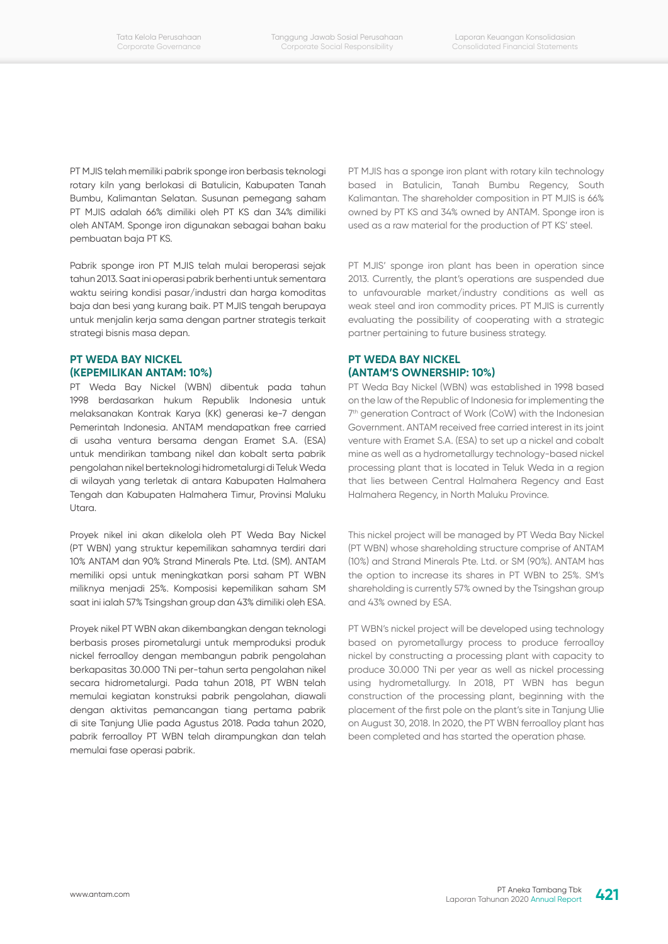PT MJIS telah memiliki pabrik sponge iron berbasis teknologi rotary kiln yang berlokasi di Batulicin, Kabupaten Tanah Bumbu, Kalimantan Selatan. Susunan pemegang saham PT MJIS adalah 66% dimiliki oleh PT KS dan 34% dimiliki oleh ANTAM. Sponge iron digunakan sebagai bahan baku pembuatan baja PT KS.

Pabrik sponge iron PT MJIS telah mulai beroperasi sejak tahun 2013. Saat ini operasi pabrik berhenti untuk sementara waktu seiring kondisi pasar/industri dan harga komoditas baja dan besi yang kurang baik. PT MJIS tengah berupaya untuk menjalin kerja sama dengan partner strategis terkait strategi bisnis masa depan.

## **PT WEDA BAY NICKEL (KEPEMILIKAN ANTAM: 10%)**

PT Weda Bay Nickel (WBN) dibentuk pada tahun 1998 berdasarkan hukum Republik Indonesia untuk melaksanakan Kontrak Karya (KK) generasi ke-7 dengan Pemerintah Indonesia. ANTAM mendapatkan free carried di usaha ventura bersama dengan Eramet S.A. (ESA) untuk mendirikan tambang nikel dan kobalt serta pabrik pengolahan nikel berteknologi hidrometalurgi di Teluk Weda di wilayah yang terletak di antara Kabupaten Halmahera Tengah dan Kabupaten Halmahera Timur, Provinsi Maluku Utara.

Proyek nikel ini akan dikelola oleh PT Weda Bay Nickel (PT WBN) yang struktur kepemilikan sahamnya terdiri dari 10% ANTAM dan 90% Strand Minerals Pte. Ltd. (SM). ANTAM memiliki opsi untuk meningkatkan porsi saham PT WBN miliknya menjadi 25%. Komposisi kepemilikan saham SM saat ini ialah 57% Tsingshan group dan 43% dimiliki oleh ESA.

Proyek nikel PT WBN akan dikembangkan dengan teknologi berbasis proses pirometalurgi untuk memproduksi produk nickel ferroalloy dengan membangun pabrik pengolahan berkapasitas 30.000 TNi per-tahun serta pengolahan nikel secara hidrometalurgi. Pada tahun 2018, PT WBN telah memulai kegiatan konstruksi pabrik pengolahan, diawali dengan aktivitas pemancangan tiang pertama pabrik di site Tanjung Ulie pada Agustus 2018. Pada tahun 2020, pabrik ferroalloy PT WBN telah dirampungkan dan telah memulai fase operasi pabrik.

PT MJIS has a sponge iron plant with rotary kiln technology based in Batulicin, Tanah Bumbu Regency, South Kalimantan. The shareholder composition in PT MJIS is 66% owned by PT KS and 34% owned by ANTAM. Sponge iron is used as a raw material for the production of PT KS' steel.

PT MJIS' sponge iron plant has been in operation since 2013. Currently, the plant's operations are suspended due to unfavourable market/industry conditions as well as weak steel and iron commodity prices. PT MJIS is currently evaluating the possibility of cooperating with a strategic partner pertaining to future business strategy.

# **PT WEDA BAY NICKEL (ANTAM'S OWNERSHIP: 10%)**

PT Weda Bay Nickel (WBN) was established in 1998 based on the law of the Republic of Indonesia for implementing the 7th generation Contract of Work (CoW) with the Indonesian Government. ANTAM received free carried interest in its joint venture with Eramet S.A. (ESA) to set up a nickel and cobalt mine as well as a hydrometallurgy technology-based nickel processing plant that is located in Teluk Weda in a region that lies between Central Halmahera Regency and East Halmahera Regency, in North Maluku Province.

This nickel project will be managed by PT Weda Bay Nickel (PT WBN) whose shareholding structure comprise of ANTAM (10%) and Strand Minerals Pte. Ltd. or SM (90%). ANTAM has the option to increase its shares in PT WBN to 25%. SM's shareholding is currently 57% owned by the Tsingshan group and 43% owned by ESA.

PT WBN's nickel project will be developed using technology based on pyrometallurgy process to produce ferroalloy nickel by constructing a processing plant with capacity to produce 30.000 TNi per year as well as nickel processing using hydrometallurgy. In 2018, PT WBN has begun construction of the processing plant, beginning with the placement of the first pole on the plant's site in Tanjung Ulie on August 30, 2018. In 2020, the PT WBN ferroalloy plant has been completed and has started the operation phase.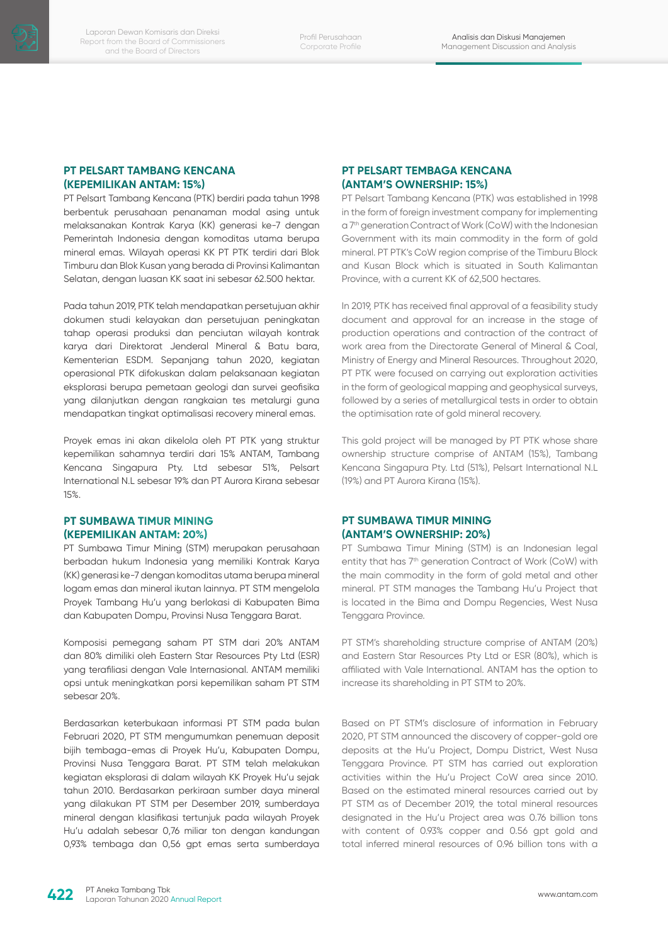## **PT PELSART TAMBANG KENCANA (KEPEMILIKAN ANTAM: 15%)**

PT Pelsart Tambang Kencana (PTK) berdiri pada tahun 1998 berbentuk perusahaan penanaman modal asing untuk melaksanakan Kontrak Karya (KK) generasi ke-7 dengan Pemerintah Indonesia dengan komoditas utama berupa mineral emas. Wilayah operasi KK PT PTK terdiri dari Blok Timburu dan Blok Kusan yang berada di Provinsi Kalimantan Selatan, dengan luasan KK saat ini sebesar 62.500 hektar.

Pada tahun 2019, PTK telah mendapatkan persetujuan akhir dokumen studi kelayakan dan persetujuan peningkatan tahap operasi produksi dan penciutan wilayah kontrak karya dari Direktorat Jenderal Mineral & Batu bara, Kementerian ESDM. Sepanjang tahun 2020, kegiatan operasional PTK difokuskan dalam pelaksanaan kegiatan eksplorasi berupa pemetaan geologi dan survei geofisika yang dilanjutkan dengan rangkaian tes metalurgi guna mendapatkan tingkat optimalisasi recovery mineral emas.

Proyek emas ini akan dikelola oleh PT PTK yang struktur kepemilikan sahamnya terdiri dari 15% ANTAM, Tambang Kencana Singapura Pty. Ltd sebesar 51%, Pelsart International N.L sebesar 19% dan PT Aurora Kirana sebesar 15%.

# **PT SUMBAWA TIMUR MINING (KEPEMILIKAN ANTAM: 20%)**

PT Sumbawa Timur Mining (STM) merupakan perusahaan berbadan hukum Indonesia yang memiliki Kontrak Karya (KK) generasi ke-7 dengan komoditas utama berupa mineral logam emas dan mineral ikutan lainnya. PT STM mengelola Proyek Tambang Hu'u yang berlokasi di Kabupaten Bima dan Kabupaten Dompu, Provinsi Nusa Tenggara Barat.

Komposisi pemegang saham PT STM dari 20% ANTAM dan 80% dimiliki oleh Eastern Star Resources Pty Ltd (ESR) yang terafiliasi dengan Vale Internasional. ANTAM memiliki opsi untuk meningkatkan porsi kepemilikan saham PT STM sebesar 20%.

Berdasarkan keterbukaan informasi PT STM pada bulan Februari 2020, PT STM mengumumkan penemuan deposit bijih tembaga-emas di Proyek Hu'u, Kabupaten Dompu, Provinsi Nusa Tenggara Barat. PT STM telah melakukan kegiatan eksplorasi di dalam wilayah KK Proyek Hu'u sejak tahun 2010. Berdasarkan perkiraan sumber daya mineral yang dilakukan PT STM per Desember 2019, sumberdaya mineral dengan klasifikasi tertunjuk pada wilayah Proyek Hu'u adalah sebesar 0,76 miliar ton dengan kandungan 0,93% tembaga dan 0,56 gpt emas serta sumberdaya

# **PT PELSART TEMBAGA KENCANA (ANTAM'S OWNERSHIP: 15%)**

PT Pelsart Tambang Kencana (PTK) was established in 1998 in the form of foreign investment company for implementing a 7th generation Contract of Work (CoW) with the Indonesian Government with its main commodity in the form of gold mineral. PT PTK's CoW region comprise of the Timburu Block and Kusan Block which is situated in South Kalimantan Province, with a current KK of 62,500 hectares.

In 2019, PTK has received final approval of a feasibility study document and approval for an increase in the stage of production operations and contraction of the contract of work area from the Directorate General of Mineral & Coal, Ministry of Energy and Mineral Resources. Throughout 2020, PT PTK were focused on carrying out exploration activities in the form of geological mapping and geophysical surveys, followed by a series of metallurgical tests in order to obtain the optimisation rate of gold mineral recovery.

This gold project will be managed by PT PTK whose share ownership structure comprise of ANTAM (15%), Tambang Kencana Singapura Pty. Ltd (51%), Pelsart International N.L (19%) and PT Aurora Kirana (15%).

## **PT SUMBAWA TIMUR MINING (ANTAM'S OWNERSHIP: 20%)**

PT Sumbawa Timur Mining (STM) is an Indonesian legal entity that has 7<sup>th</sup> generation Contract of Work (CoW) with the main commodity in the form of gold metal and other mineral. PT STM manages the Tambang Hu'u Project that is located in the Bima and Dompu Regencies, West Nusa Tenggara Province.

PT STM's shareholding structure comprise of ANTAM (20%) and Eastern Star Resources Pty Ltd or ESR (80%), which is affiliated with Vale International. ANTAM has the option to increase its shareholding in PT STM to 20%.

Based on PT STM's disclosure of information in February 2020, PT STM announced the discovery of copper-gold ore deposits at the Hu'u Project, Dompu District, West Nusa Tenggara Province. PT STM has carried out exploration activities within the Hu'u Project CoW area since 2010. Based on the estimated mineral resources carried out by PT STM as of December 2019, the total mineral resources designated in the Hu'u Project area was 0.76 billion tons with content of 0.93% copper and 0.56 apt gold and total inferred mineral resources of 0.96 billion tons with a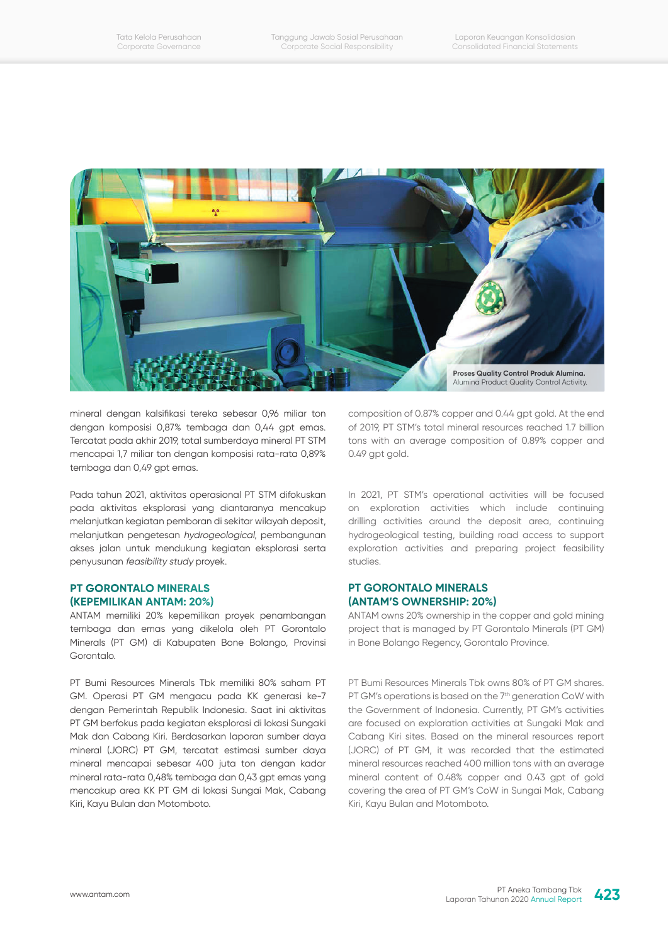

mineral dengan kalsifikasi tereka sebesar 0,96 miliar ton dengan komposisi 0,87% tembaga dan 0,44 gpt emas. Tercatat pada akhir 2019, total sumberdaya mineral PT STM mencapai 1,7 miliar ton dengan komposisi rata-rata 0,89% tembaga dan 0,49 gpt emas.

Pada tahun 2021, aktivitas operasional PT STM difokuskan pada aktivitas eksplorasi yang diantaranya mencakup melanjutkan kegiatan pemboran di sekitar wilayah deposit, melanjutkan pengetesan hydrogeological, pembangunan akses jalan untuk mendukung kegiatan eksplorasi serta penyusunan feasibility study proyek.

#### **PT GORONTALO MINERALS (KEPEMILIKAN ANTAM: 20%)**

ANTAM memiliki 20% kepemilikan proyek penambangan tembaga dan emas yang dikelola oleh PT Gorontalo Minerals (PT GM) di Kabupaten Bone Bolango, Provinsi Gorontalo.

PT Bumi Resources Minerals Tbk memiliki 80% saham PT GM. Operasi PT GM mengacu pada KK generasi ke-7 dengan Pemerintah Republik Indonesia. Saat ini aktivitas PT GM berfokus pada kegiatan eksplorasi di lokasi Sungaki Mak dan Cabang Kiri. Berdasarkan laporan sumber daya mineral (JORC) PT GM, tercatat estimasi sumber daya mineral mencapai sebesar 400 juta ton dengan kadar mineral rata-rata 0,48% tembaga dan 0,43 gpt emas yang mencakup area KK PT GM di lokasi Sungai Mak, Cabang Kiri, Kayu Bulan dan Motomboto.

composition of 0.87% copper and 0.44 gpt gold. At the end of 2019, PT STM's total mineral resources reached 1.7 billion tons with an average composition of 0.89% copper and 0.49 gpt gold.

In 2021, PT STM's operational activities will be focused on exploration activities which include continuing drilling activities around the deposit area, continuing hydrogeological testing, building road access to support exploration activities and preparing project feasibility studies.

#### **PT GORONTALO MINERALS (ANTAM'S OWNERSHIP: 20%)**

ANTAM owns 20% ownership in the copper and gold mining project that is managed by PT Gorontalo Minerals (PT GM) in Bone Bolango Regency, Gorontalo Province.

PT Bumi Resources Minerals Tbk owns 80% of PT GM shares. PT GM's operations is based on the 7<sup>th</sup> generation CoW with the Government of Indonesia. Currently, PT GM's activities are focused on exploration activities at Sungaki Mak and Cabang Kiri sites. Based on the mineral resources report (JORC) of PT GM, it was recorded that the estimated mineral resources reached 400 million tons with an average mineral content of 0.48% copper and 0.43 gpt of gold covering the area of PT GM's CoW in Sungai Mak, Cabang Kiri, Kayu Bulan and Motomboto.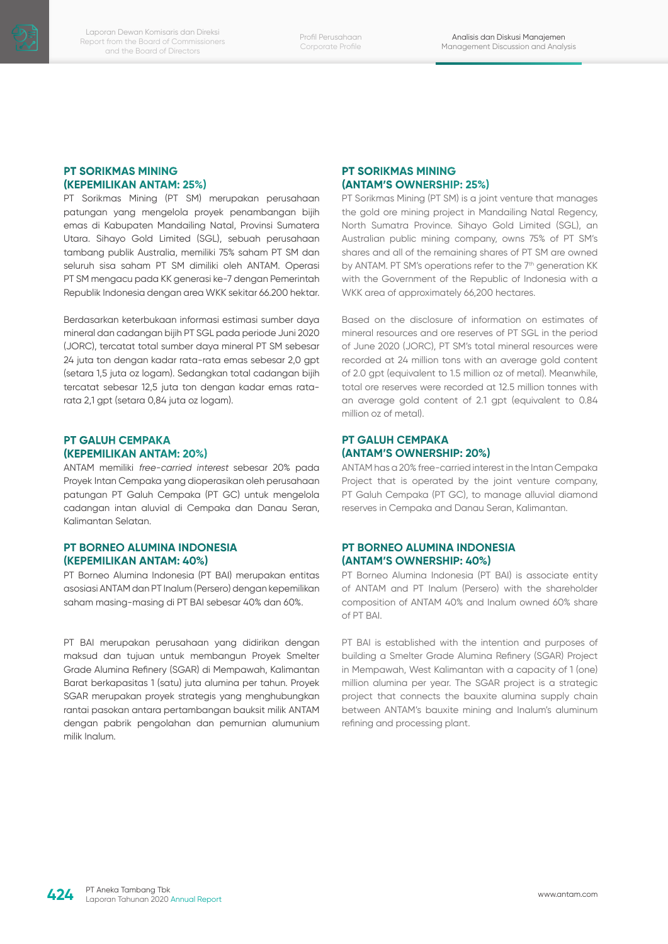## **PT SORIKMAS MINING (KEPEMILIKAN ANTAM: 25%)**

PT Sorikmas Mining (PT SM) merupakan perusahaan patungan yang mengelola proyek penambangan bijih emas di Kabupaten Mandailing Natal, Provinsi Sumatera Utara. Sihayo Gold Limited (SGL), sebuah perusahaan tambang publik Australia, memiliki 75% saham PT SM dan seluruh sisa saham PT SM dimiliki oleh ANTAM. Operasi PT SM mengacu pada KK generasi ke-7 dengan Pemerintah Republik Indonesia dengan area WKK sekitar 66.200 hektar.

Berdasarkan keterbukaan informasi estimasi sumber daya mineral dan cadangan bijih PT SGL pada periode Juni 2020 (JORC), tercatat total sumber daya mineral PT SM sebesar 24 juta ton dengan kadar rata-rata emas sebesar 2,0 gpt (setara 1,5 juta oz logam). Sedangkan total cadangan bijih tercatat sebesar 12,5 juta ton dengan kadar emas ratarata 2,1 gpt (setara 0,84 juta oz logam).

## **PT GALUH CEMPAKA (KEPEMILIKAN ANTAM: 20%)**

ANTAM memiliki free-carried interest sebesar 20% pada Proyek Intan Cempaka yang dioperasikan oleh perusahaan patungan PT Galuh Cempaka (PT GC) untuk mengelola cadangan intan aluvial di Cempaka dan Danau Seran, Kalimantan Selatan.

## **PT BORNEO ALUMINA INDONESIA (KEPEMILIKAN ANTAM: 40%)**

PT Borneo Alumina Indonesia (PT BAI) merupakan entitas asosiasi ANTAM dan PT Inalum (Persero) dengan kepemilikan saham masing-masing di PT BAI sebesar 40% dan 60%.

PT BAI merupakan perusahaan yang didirikan dengan maksud dan tujuan untuk membangun Proyek Smelter Grade Alumina Refinery (SGAR) di Mempawah, Kalimantan Barat berkapasitas 1 (satu) juta alumina per tahun. Proyek SGAR merupakan proyek strategis yang menghubungkan rantai pasokan antara pertambangan bauksit milik ANTAM dengan pabrik pengolahan dan pemurnian alumunium milik Inalum.

## **PT SORIKMAS MINING (ANTAM'S OWNERSHIP: 25%)**

PT Sorikmas Mining (PT SM) is a joint venture that manages the gold ore mining project in Mandailing Natal Regency, North Sumatra Province. Sihayo Gold Limited (SGL), an Australian public mining company, owns 75% of PT SM's shares and all of the remaining shares of PT SM are owned by ANTAM. PT SM's operations refer to the 7<sup>th</sup> generation KK with the Government of the Republic of Indonesia with a WKK area of approximately 66,200 hectares.

Based on the disclosure of information on estimates of mineral resources and ore reserves of PT SGL in the period of June 2020 (JORC), PT SM's total mineral resources were recorded at 24 million tons with an average gold content of 2.0 gpt (equivalent to 1.5 million oz of metal). Meanwhile, total ore reserves were recorded at 12.5 million tonnes with an average gold content of 2.1 gpt (equivalent to 0.84 million oz of metal).

# **PT GALUH CEMPAKA (ANTAM'S OWNERSHIP: 20%)**

ANTAM has a 20% free-carried interest in the Intan Cempaka Project that is operated by the joint venture company, PT Galuh Cempaka (PT GC), to manage alluvial diamond reserves in Cempaka and Danau Seran, Kalimantan.

# **PT BORNEO ALUMINA INDONESIA (ANTAM'S OWNERSHIP: 40%)**

PT Borneo Alumina Indonesia (PT BAI) is associate entity of ANTAM and PT Inalum (Persero) with the shareholder composition of ANTAM 40% and Inalum owned 60% share of PT BAI.

PT BAI is established with the intention and purposes of building a Smelter Grade Alumina Refinery (SGAR) Project in Mempawah, West Kalimantan with a capacity of 1 (one) million alumina per year. The SGAR project is a strategic project that connects the bauxite alumina supply chain between ANTAM's bauxite mining and Inalum's aluminum refining and processing plant.